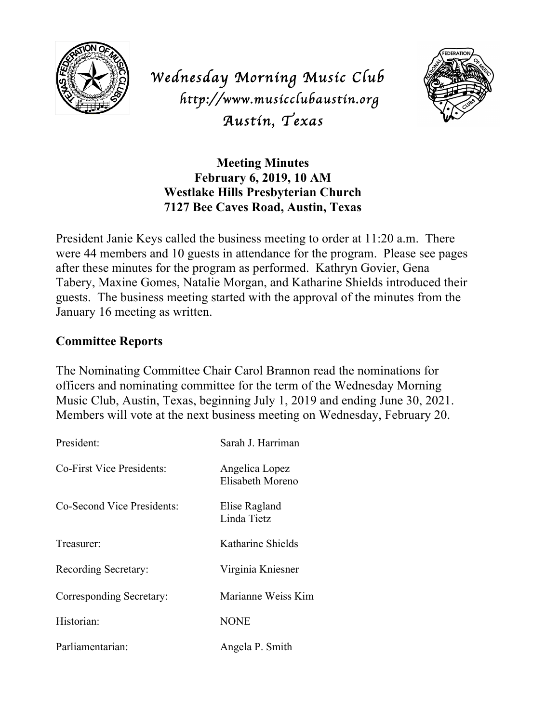

*Wednesday Morning Music Club http://www.musicclubaustin.org Austin, Texas* 



# **Meeting Minutes February 6, 2019, 10 AM Westlake Hills Presbyterian Church 7127 Bee Caves Road, Austin, Texas**

President Janie Keys called the business meeting to order at 11:20 a.m. There were 44 members and 10 guests in attendance for the program. Please see pages after these minutes for the program as performed. Kathryn Govier, Gena Tabery, Maxine Gomes, Natalie Morgan, and Katharine Shields introduced their guests. The business meeting started with the approval of the minutes from the January 16 meeting as written.

## **Committee Reports**

The Nominating Committee Chair Carol Brannon read the nominations for officers and nominating committee for the term of the Wednesday Morning Music Club, Austin, Texas, beginning July 1, 2019 and ending June 30, 2021. Members will vote at the next business meeting on Wednesday, February 20.

| President:                 | Sarah J. Harriman                  |
|----------------------------|------------------------------------|
| Co-First Vice Presidents:  | Angelica Lopez<br>Elisabeth Moreno |
| Co-Second Vice Presidents: | Elise Ragland<br>Linda Tietz       |
| Treasurer:                 | Katharine Shields                  |
| Recording Secretary:       | Virginia Kniesner                  |
| Corresponding Secretary:   | Marianne Weiss Kim                 |
| Historian:                 | <b>NONE</b>                        |
| Parliamentarian:           | Angela P. Smith                    |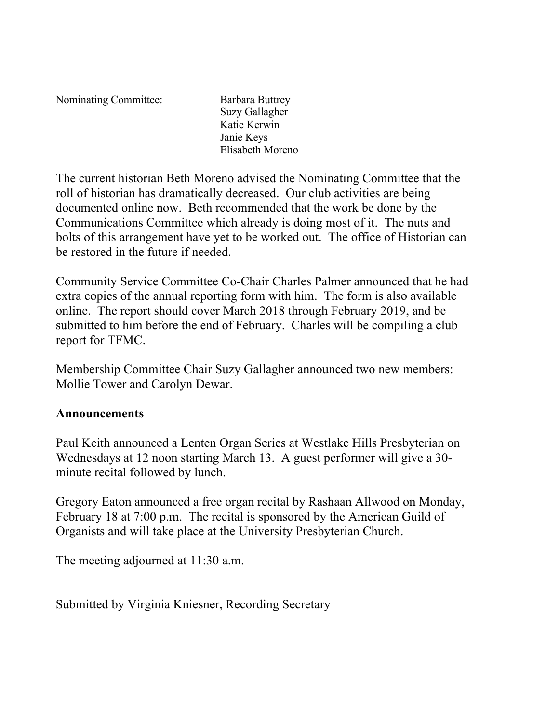Nominating Committee: Barbara Buttrey

Suzy Gallagher Katie Kerwin Janie Keys Elisabeth Moreno

The current historian Beth Moreno advised the Nominating Committee that the roll of historian has dramatically decreased. Our club activities are being documented online now. Beth recommended that the work be done by the Communications Committee which already is doing most of it. The nuts and bolts of this arrangement have yet to be worked out. The office of Historian can be restored in the future if needed.

Community Service Committee Co-Chair Charles Palmer announced that he had extra copies of the annual reporting form with him. The form is also available online. The report should cover March 2018 through February 2019, and be submitted to him before the end of February. Charles will be compiling a club report for TFMC.

Membership Committee Chair Suzy Gallagher announced two new members: Mollie Tower and Carolyn Dewar.

## **Announcements**

Paul Keith announced a Lenten Organ Series at Westlake Hills Presbyterian on Wednesdays at 12 noon starting March 13. A guest performer will give a 30 minute recital followed by lunch.

Gregory Eaton announced a free organ recital by Rashaan Allwood on Monday, February 18 at 7:00 p.m. The recital is sponsored by the American Guild of Organists and will take place at the University Presbyterian Church.

The meeting adjourned at 11:30 a.m.

Submitted by Virginia Kniesner, Recording Secretary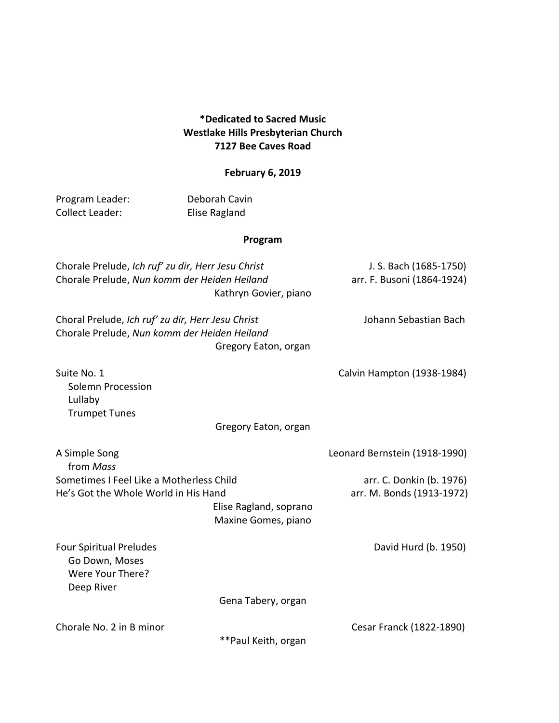#### **\*Dedicated to Sacred Music Westlake Hills Presbyterian Church 7127 Bee Caves Road**

### **February 6, 2019**

| Program Leader:                                                                                    | Deborah Cavin                                 |                                                       |
|----------------------------------------------------------------------------------------------------|-----------------------------------------------|-------------------------------------------------------|
| <b>Collect Leader:</b>                                                                             | <b>Elise Ragland</b>                          |                                                       |
|                                                                                                    | Program                                       |                                                       |
| Chorale Prelude, Ich ruf' zu dir, Herr Jesu Christ<br>Chorale Prelude, Nun komm der Heiden Heiland | Kathryn Govier, piano                         | J. S. Bach (1685-1750)<br>arr. F. Busoni (1864-1924)  |
| Choral Prelude, Ich ruf' zu dir, Herr Jesu Christ<br>Chorale Prelude, Nun komm der Heiden Heiland  | Gregory Eaton, organ                          | Johann Sebastian Bach                                 |
| Suite No. 1<br>Solemn Procession<br>Lullaby<br><b>Trumpet Tunes</b>                                | Gregory Eaton, organ                          | Calvin Hampton (1938-1984)                            |
| A Simple Song                                                                                      |                                               | Leonard Bernstein (1918-1990)                         |
| from Mass                                                                                          |                                               |                                                       |
| Sometimes I Feel Like a Motherless Child<br>He's Got the Whole World in His Hand                   | Elise Ragland, soprano<br>Maxine Gomes, piano | arr. C. Donkin (b. 1976)<br>arr. M. Bonds (1913-1972) |
| <b>Four Spiritual Preludes</b><br>Go Down, Moses<br>Were Your There?<br>Deep River                 |                                               | David Hurd (b. 1950)                                  |
|                                                                                                    | Gena Tabery, organ                            |                                                       |
| Chorale No. 2 in B minor                                                                           | ** Paul Keith, organ                          | Cesar Franck (1822-1890)                              |